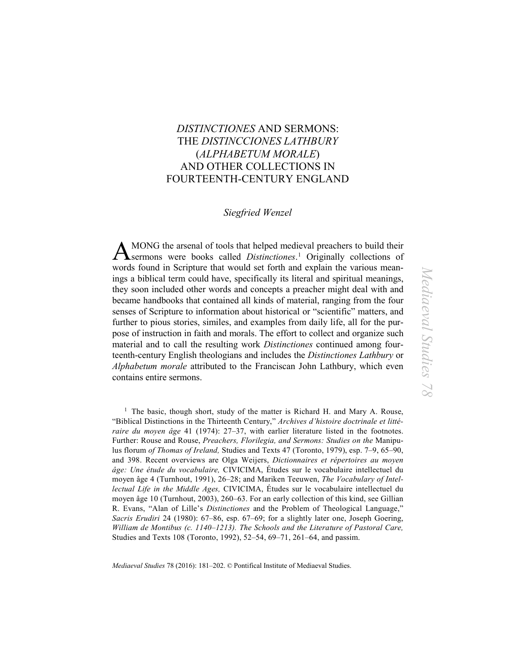# *DISTINCTIONES* AND SERMONS: THE *DISTINCCIONES LATHBURY* (*ALPHABETUM MORALE*) AND OTHER COLLECTIONS IN FOURTEENTH-CENTURY ENGLAND

# *Siegfried Wenzel*

MONG the arsenal of tools that helped medieval preachers to build their sermons were books called *Distinctiones*. [1](#page-0-0) Originally collections of words found in Scripture that would set forth and explain the various meanings a biblical term could have, specifically its literal and spiritual meanings, they soon included other words and concepts a preacher might deal with and became handbooks that contained all kinds of material, ranging from the four senses of Scripture to information about historical or "scientific" matters, and further to pious stories, similes, and examples from daily life, all for the purpose of instruction in faith and morals. The effort to collect and organize such material and to call the resulting work *Distinctiones* continued among fourteenth-century English theologians and includes the *Distinctiones Lathbury* or *Alphabetum morale* attributed to the Franciscan John Lathbury, which even contains entire sermons. A

<span id="page-0-0"></span><sup>1</sup> The basic, though short, study of the matter is Richard H. and Mary A. Rouse, "Biblical Distinctions in the Thirteenth Century," *Archives d'histoire doctrinale et littéraire du moyen âge* 41 (1974): 27–37, with earlier literature listed in the footnotes. Further: Rouse and Rouse, *Preachers, Florilegia, and Sermons: Studies on the* Manipulus florum *of Thomas of Ireland,* Studies and Texts 47 (Toronto, 1979), esp. 7–9, 65–90, and 398. Recent overviews are Olga Weijers, *Dictionnaires et répertoires au moyen âge: Une étude du vocabulaire,* CIVICIMA, Études sur le vocabulaire intellectuel du moyen âge 4 (Turnhout, 1991), 26–28; and Mariken Teeuwen, *The Vocabulary of Intellectual Life in the Middle Ages,* CIVICIMA, Études sur le vocabulaire intellectuel du moyen âge 10 (Turnhout, 2003), 260–63. For an early collection of this kind, see Gillian R. Evans, "Alan of Lille's *Distinctiones* and the Problem of Theological Language," *Sacris Erudiri* 24 (1980): 67–86, esp. 67–69; for a slightly later one, Joseph Goering, *William de Montibus (c. 1140–1213). The Schools and the Literature of Pastoral Care,* Studies and Texts 108 (Toronto, 1992), 52–54, 69–71, 261–64, and passim.

*Mediaeval Studies* 78 (2016): 181–202. © Pontifical Institute of Mediaeval Studies.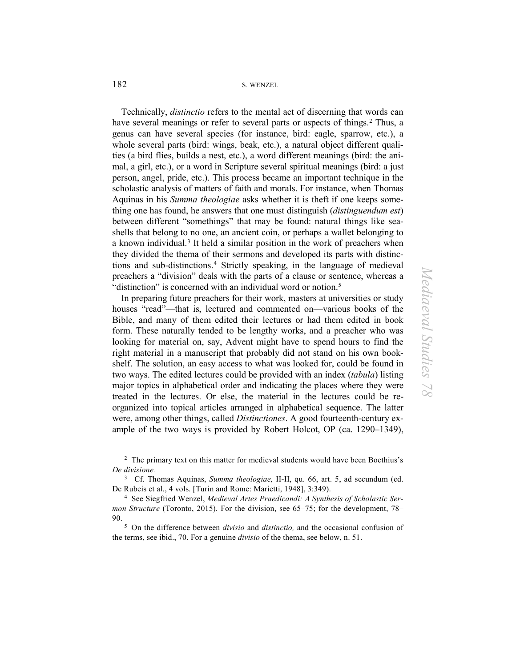182 S. WENZEL

 Technically, *distinctio* refers to the mental act of discerning that words can have several meanings or refer to several parts or aspects of things.<sup>2</sup> Thus, a genus can have several species (for instance, bird: eagle, sparrow, etc.), a whole several parts (bird: wings, beak, etc.), a natural object different qualities (a bird flies, builds a nest, etc.), a word different meanings (bird: the animal, a girl, etc.), or a word in Scripture several spiritual meanings (bird: a just person, angel, pride, etc.). This process became an important technique in the scholastic analysis of matters of faith and morals. For instance, when Thomas Aquinas in his *Summa theologiae* asks whether it is theft if one keeps something one has found, he answers that one must distinguish (*distinguendum est*) between different "somethings" that may be found: natural things like seashells that belong to no one, an ancient coin, or perhaps a wallet belonging to a known individual[.3](#page-1-1) It held a similar position in the work of preachers when they divided the thema of their sermons and developed its parts with distinctions and sub-distinctions.[4](#page-1-2) Strictly speaking, in the language of medieval preachers a "division" deals with the parts of a clause or sentence, whereas a "distinction" is concerned with an individual word or notion.<sup>[5](#page-1-3)</sup>

In preparing future preachers for their work, masters at universities or study houses "read"—that is, lectured and commented on—various books of the Bible, and many of them edited their lectures or had them edited in book form. These naturally tended to be lengthy works, and a preacher who was looking for material on, say, Advent might have to spend hours to find the right material in a manuscript that probably did not stand on his own bookshelf. The solution, an easy access to what was looked for, could be found in two ways. The edited lectures could be provided with an index (*tabula*) listing major topics in alphabetical order and indicating the places where they were treated in the lectures. Or else, the material in the lectures could be reorganized into topical articles arranged in alphabetical sequence. The latter were, among other things, called *Distinctiones*. A good fourteenth-century example of the two ways is provided by Robert Holcot, OP (ca. 1290–1349),

*Mediaeval Studies 78*Mediaeval Studies 78

<span id="page-1-0"></span><sup>2</sup> The primary text on this matter for medieval students would have been Boethius's *De divisione.*

<span id="page-1-1"></span><sup>3</sup> Cf. Thomas Aquinas, *Summa theologiae,* II-II, qu. 66, art. 5, ad secundum (ed. De Rubeis et al., 4 vols. [Turin and Rome: Marietti, 1948], 3:349).

<span id="page-1-2"></span>See Siegfried Wenzel, *Medieval Artes Praedicandi: A Synthesis of Scholastic Sermon Structure* (Toronto, 2015). For the division, see 65–75; for the development, 78– 90.

<span id="page-1-3"></span><sup>5</sup> On the difference between *divisio* and *distinctio,* and the occasional confusion of the terms, see ibid., 70. For a genuine *divisio* of the thema, see below, n. 51.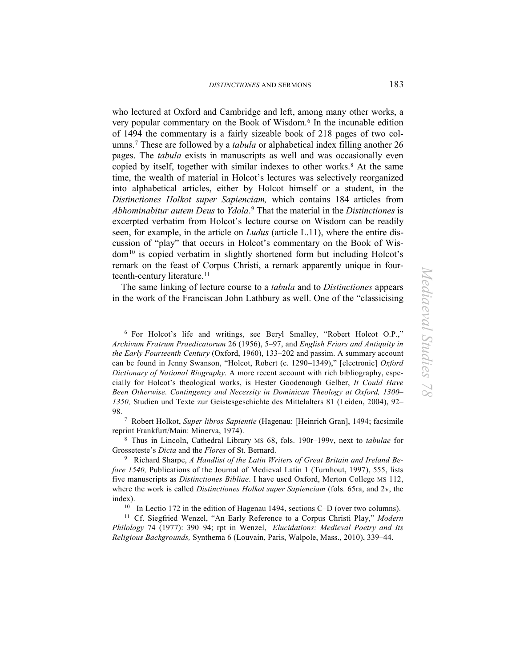who lectured at Oxford and Cambridge and left, among many other works, a very popular commentary on the Book of Wisdom.<sup>[6](#page-2-0)</sup> In the incunable edition of 1494 the commentary is a fairly sizeable book of 218 pages of two columns.[7](#page-2-1) These are followed by a *tabula* or alphabetical index filling another 26 pages. The *tabula* exists in manuscripts as well and was occasionally even copied by itself, together with similar indexes to other works.<sup>[8](#page-2-2)</sup> At the same time, the wealth of material in Holcot's lectures was selectively reorganized into alphabetical articles, either by Holcot himself or a student, in the *Distinctiones Holkot super Sapienciam,* which contains 184 articles from *Abhominabitur autem Deus* to *Ydola*. [9](#page-2-3) That the material in the *Distinctiones* is excerpted verbatim from Holcot's lecture course on Wisdom can be readily seen, for example, in the article on *Ludus* (article L.11), where the entire discussion of "play" that occurs in Holcot's commentary on the Book of Wisdom[10](#page-2-4) is copied verbatim in slightly shortened form but including Holcot's remark on the feast of Corpus Christi, a remark apparently unique in fourteenth-century literature.<sup>11</sup>

The same linking of lecture course to a *tabula* and to *Distinctiones* appears in the work of the Franciscan John Lathbury as well. One of the "classicising

<span id="page-2-0"></span>6 For Holcot's life and writings, see Beryl Smalley, "Robert Holcot O.P.," *Archivum Fratrum Praedicatorum* 26 (1956), 5–97, and *English Friars and Antiquity in the Early Fourteenth Century* (Oxford, 1960), 133–202 and passim. A summary account can be found in Jenny Swanson, "Holcot, Robert (c. 1290–1349)," [electronic] *Oxford Dictionary of National Biography*. A more recent account with rich bibliography, especially for Holcot's theological works, is Hester Goodenough Gelber, *It Could Have Been Otherwise. Contingency and Necessity in Dominican Theology at Oxford, 1300– 1350,* Studien und Texte zur Geistesgeschichte des Mittelalters 81 (Leiden, 2004), 92– 98.

<span id="page-2-1"></span>7 Robert Holkot, *Super libros Sapientie* (Hagenau: [Heinrich Gran], 1494; facsimile reprint Frankfurt/Main: Minerva, 1974).

<span id="page-2-2"></span>8 Thus in Lincoln, Cathedral Library MS 68, fols. 190r–199v, next to *tabulae* for Grosseteste's *Dicta* and the *Flores* of St. Bernard.

<span id="page-2-3"></span>9 Richard Sharpe, *A Handlist of the Latin Writers of Great Britain and Ireland Before 1540,* Publications of the Journal of Medieval Latin 1 (Turnhout, 1997), 555, lists five manuscripts as *Distinctiones Bibliae*. I have used Oxford, Merton College MS 112, where the work is called *Distinctiones Holkot super Sapienciam* (fols. 65ra, and 2v, the index).

<span id="page-2-5"></span><span id="page-2-4"></span>10 In Lectio 172 in the edition of Hagenau 1494, sections C–D (over two columns). 11 Cf. Siegfried Wenzel, "An Early Reference to a Corpus Christi Play," *Modern Philology* 74 (1977): 390–94; rpt in Wenzel, *Elucidations: Medieval Poetry and Its Religious Backgrounds,* Synthema 6 (Louvain, Paris, Walpole, Mass., 2010), 339–44.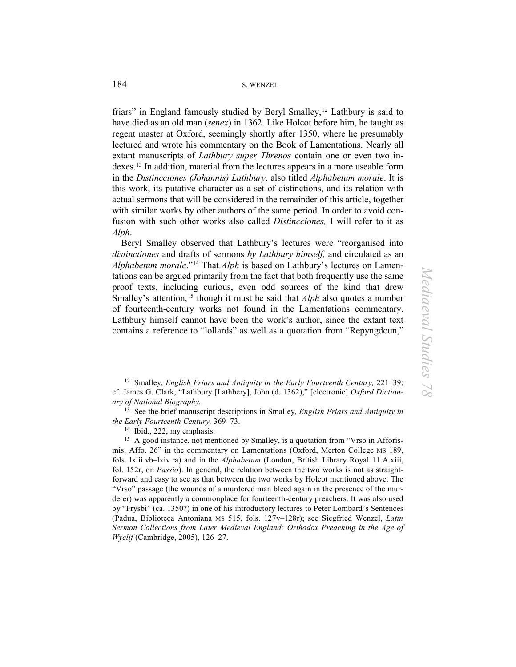friars" in England famously studied by Beryl Smalley,<sup>[12](#page-3-0)</sup> Lathbury is said to have died as an old man (*senex*) in 1362. Like Holcot before him, he taught as regent master at Oxford, seemingly shortly after 1350, where he presumably lectured and wrote his commentary on the Book of Lamentations. Nearly all extant manuscripts of *Lathbury super Threnos* contain one or even two indexes.[13](#page-3-1) In addition, material from the lectures appears in a more useable form in the *Distincciones (Johannis) Lathbury,* also titled *Alphabetum morale*. It is this work, its putative character as a set of distinctions, and its relation with actual sermons that will be considered in the remainder of this article, together with similar works by other authors of the same period. In order to avoid confusion with such other works also called *Distincciones,* I will refer to it as *Alph*.

Beryl Smalley observed that Lathbury's lectures were "reorganised into *distinctiones* and drafts of sermons *by Lathbury himself,* and circulated as an *Alphabetum morale*."[14](#page-3-2) That *Alph* is based on Lathbury's lectures on Lamentations can be argued primarily from the fact that both frequently use the same proof texts, including curious, even odd sources of the kind that drew Smalley's attention,<sup>[15](#page-3-3)</sup> though it must be said that *Alph* also quotes a number of fourteenth-century works not found in the Lamentations commentary. Lathbury himself cannot have been the work's author, since the extant text contains a reference to "lollards" as well as a quotation from "Repyngdoun,"

<span id="page-3-0"></span>12 Smalley, *English Friars and Antiquity in the Early Fourteenth Century,* 221–39; cf. James G. Clark, "Lathbury [Lathbery], John (d. 1362)," [electronic] *Oxford Dictionary of National Biography.*

<span id="page-3-1"></span>13 See the brief manuscript descriptions in Smalley, *English Friars and Antiquity in the Early Fourteenth Century,* 369–73.<br><sup>14</sup> Ibid., 222, my emphasis.

<span id="page-3-3"></span><span id="page-3-2"></span><sup>15</sup> A good instance, not mentioned by Smalley, is a quotation from "Vrso in Afforismis, Affo. 26" in the commentary on Lamentations (Oxford, Merton College MS 189, fols. lxiii vb–lxiv ra) and in the *Alphabetum* (London, British Library Royal 11.A.xiii, fol. 152r, on *Passio*). In general, the relation between the two works is not as straightforward and easy to see as that between the two works by Holcot mentioned above. The "Vrso" passage (the wounds of a murdered man bleed again in the presence of the murderer) was apparently a commonplace for fourteenth-century preachers. It was also used by "Frysbi" (ca. 1350?) in one of his introductory lectures to Peter Lombard's Sentences (Padua, Biblioteca Antoniana MS 515, fols. 127v–128r); see Siegfried Wenzel, *Latin Sermon Collections from Later Medieval England: Orthodox Preaching in the Age of Wyclif* (Cambridge, 2005), 126–27.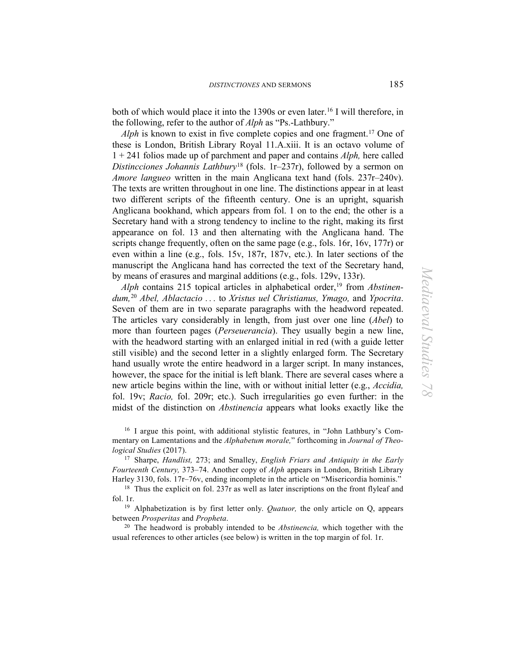both of which would place it into the 1390s or even later.<sup>[16](#page-4-0)</sup> I will therefore, in the following, refer to the author of *Alph* as "Ps.-Lathbury."

*Alph* is known to exist in five complete copies and one fragment.<sup>[17](#page-4-1)</sup> One of these is London, British Library Royal 11.A.xiii. It is an octavo volume of 1 + 241 folios made up of parchment and paper and contains *Alph,* here called *Distincciones Johannis Lathbury*[18](#page-4-2) (fols. 1r–237r), followed by a sermon on *Amore langueo* written in the main Anglicana text hand (fols. 237r–240v). The texts are written throughout in one line. The distinctions appear in at least two different scripts of the fifteenth century. One is an upright, squarish Anglicana bookhand, which appears from fol. 1 on to the end; the other is a Secretary hand with a strong tendency to incline to the right, making its first appearance on fol. 13 and then alternating with the Anglicana hand. The scripts change frequently, often on the same page (e.g., fols. 16r, 16v, 177r) or even within a line (e.g., fols. 15v, 187r, 187v, etc.). In later sections of the manuscript the Anglicana hand has corrected the text of the Secretary hand, by means of erasures and marginal additions (e.g., fols. 129v, 133r).

Alph contains 215 topical articles in alphabetical order,<sup>[19](#page-4-3)</sup> from *Abstinendum,*[20](#page-4-4) *Abel, Ablactacio . . .* to *Xristus uel Christianus, Ymago,* and *Ypocrita*. Seven of them are in two separate paragraphs with the headword repeated. The articles vary considerably in length, from just over one line (*Abel*) to more than fourteen pages (*Perseuerancia*). They usually begin a new line, with the headword starting with an enlarged initial in red (with a guide letter still visible) and the second letter in a slightly enlarged form. The Secretary hand usually wrote the entire headword in a larger script. In many instances, however, the space for the initial is left blank. There are several cases where a new article begins within the line, with or without initial letter (e.g., *Accidia,* fol. 19v; *Racio,* fol. 209r; etc.). Such irregularities go even further: in the midst of the distinction on *Abstinencia* appears what looks exactly like the

<span id="page-4-0"></span>16 I argue this point, with additional stylistic features, in "John Lathbury's Commentary on Lamentations and the *Alphabetum morale,*" forthcoming in *Journal of Theological Studies* (2017).

<span id="page-4-1"></span>17 Sharpe, *Handlist,* 273; and Smalley, *English Friars and Antiquity in the Early Fourteenth Century,* 373–74. Another copy of *Alph* appears in London, British Library Harley 3130, fols. 17r–76v, ending incomplete in the article on "Misericordia hominis."

<span id="page-4-2"></span><sup>18</sup> Thus the explicit on fol. 237r as well as later inscriptions on the front flyleaf and fol. 1r.

<span id="page-4-3"></span><sup>19</sup> Alphabetization is by first letter only. *Quatuor*, the only article on Q, appears between *Prosperitas* and *Propheta*.

<span id="page-4-4"></span><sup>20</sup> The headword is probably intended to be *Abstinencia*, which together with the usual references to other articles (see below) is written in the top margin of fol. 1r.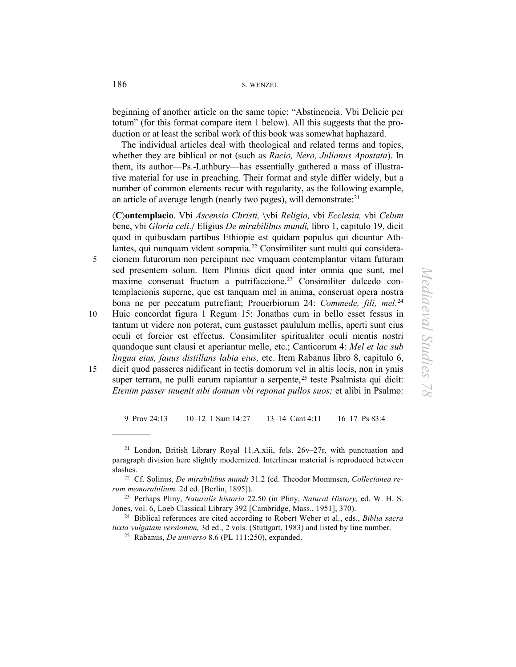beginning of another article on the same topic: "Abstinencia. Vbi Delicie per totum" (for this format compare item 1 below). All this suggests that the production or at least the scribal work of this book was somewhat haphazard.

The individual articles deal with theological and related terms and topics, whether they are biblical or not (such as *Racio, Nero, Julianus Apostata*). In them, its author—Ps.-Lathbury—has essentially gathered a mass of illustrative material for use in preaching. Their format and style differ widely, but a number of common elements recur with regularity, as the following example, an article of average length (nearly two pages), will demonstrate:<sup>[21](#page-5-0)</sup>

〈**C**〉**ontemplacio**. Vbi *Ascensio Christi,* \vbi *Religio,* vbi *Ecclesia,* vbi *Celum*  bene, vbi *Gloria celi*./ Eligius *De mirabilibus mundi,* libro 1, capitulo 19, dicit quod in quibusdam partibus Ethiopie est quidam populus qui dicuntur Athlantes, qui nunquam vident sompnia.[22](#page-5-1) Consimiliter sunt multi qui considera-

- 5 cionem futurorum non percipiunt nec vmquam contemplantur vitam futuram sed presentem solum. Item Plinius dicit quod inter omnia que sunt, mel maxime conseruat fructum a putrifaccione.<sup>[23](#page-5-2)</sup> Consimiliter dulcedo contemplacionis superne, que est tanquam mel in anima, conseruat opera nostra bona ne per peccatum putrefiant; Prouerbiorum 24: *Commede, fili, mel*. [24](#page-5-3)
- 10 Huic concordat figura 1 Regum 15: Jonathas cum in bello esset fessus in tantum ut videre non poterat, cum gustasset paululum mellis, aperti sunt eius oculi et forcior est effectus. Consimiliter spiritualiter oculi mentis nostri quandoque sunt clausi et aperiantur melle, etc.; Canticorum 4: *Mel et lac sub lingua eius, fauus distillans labia eius,* etc. Item Rabanus libro 8, capitulo 6,
- <span id="page-5-0"></span>15 dicit quod passeres nidificant in tectis domorum vel in altis locis, non in ymis super terram, ne pulli earum rapiantur a serpente, $2<sup>5</sup>$  teste Psalmista qui dicit: *Etenim passer inuenit sibi domum vbi reponat pullos suos;* et alibi in Psalmo:

9 Prov 24:13 10–12 1 Sam 14:27 13–14 Cant 4:11 16–17 Ps 83:4

—————

<sup>21</sup> London, British Library Royal 11.A.xiii, fols. 26v–27r, with punctuation and paragraph division here slightly modernized. Interlinear material is reproduced between slashes. 22 Cf. Solinus, *De mirabilibus mundi* 31.2 (ed. Theodor Mommsen, *Collectanea re-*

<span id="page-5-1"></span>*rum memorabilium,* 2d ed. [Berlin, 1895]).

<span id="page-5-2"></span><sup>23</sup> Perhaps Pliny, *Naturalis historia* 22.50 (in Pliny, *Natural History,* ed. W. H. S.

<span id="page-5-4"></span><span id="page-5-3"></span><sup>&</sup>lt;sup>24</sup> Biblical references are cited according to Robert Weber et al., eds., *Biblia sacra iuxta vulgatam versionem,* 3d ed., 2 vols. (Stuttgart, 1983) and listed by line number. 25 Rabanus, *De universo* 8.6 (PL 111:250), expanded.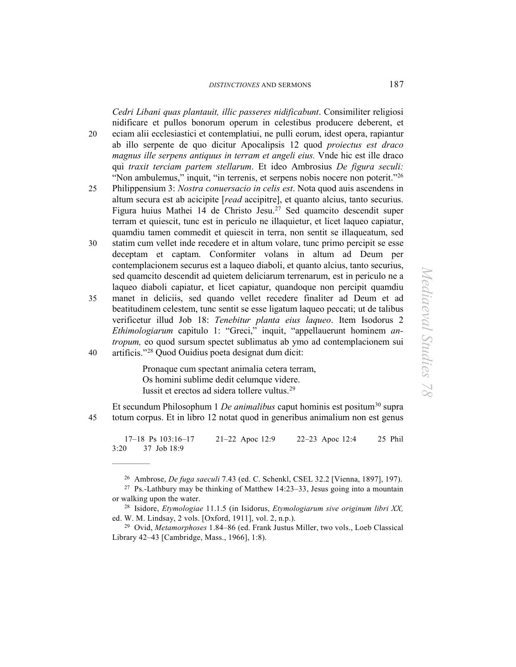### *DISTINCTIONES* AND SERMONS 187

*Cedri Libani quas plantauit, illic passeres nidificabunt*. Consimiliter religiosi nidificare et pullos bonorum operum in celestibus producere deberent, et

- 20 eciam alii ecclesiastici et contemplatiui, ne pulli eorum, idest opera, rapiantur ab illo serpente de quo dicitur Apocalipsis 12 quod *proiectus est draco magnus ille serpens antiquus in terram et angeli eius.* Vnde hic est ille draco qui *traxit terciam partem stellarum*. Et ideo Ambrosius *De figura seculi:* "Non ambulemus," inquit, "in terrenis, et serpens nobis nocere non poterit."<sup>[26](#page-6-0)</sup>
- 25 Philippensium 3: *Nostra conuersacio in celis est*. Nota quod auis ascendens in altum secura est ab acicipite [*read* accipitre], et quanto alcius, tanto securius. Figura huius Mathei 14 de Christo Jesu.[27](#page-6-1) Sed quamcito descendit super terram et quiescit, tunc est in periculo ne illaquietur, et licet laqueo capiatur, quamdiu tamen commedit et quiescit in terra, non sentit se illaqueatum, sed
- 30 statim cum vellet inde recedere et in altum volare, tunc primo percipit se esse deceptam et captam. Conformiter volans in altum ad Deum per contemplacionem securus est a laqueo diaboli, et quanto alcius, tanto securius, sed quamcito descendit ad quietem deliciarum terrenarum, est in periculo ne a laqueo diaboli capiatur, et licet capiatur, quandoque non percipit quamdiu
- 35 manet in deliciis, sed quando vellet recedere finaliter ad Deum et ad beatitudinem celestem, tunc sentit se esse ligatum laqueo peccati; ut de talibus verificetur illud Job 18: *Tenebitur planta eius laqueo*. Item Isodorus 2 *Ethimologiarum* capitulo 1: "Greci," inquit, "appellauerunt hominem *antropum,* eo quod sursum spectet sublimatus ab ymo ad contemplacionem sui 40 artificis."<sup>[28](#page-6-2)</sup> Quod Ouidius poeta designat dum dicit:

 Pronaque cum spectant animalia cetera terram, Os homini sublime dedit celumque videre. Iussit et erectos ad sidera tollere vultus.[29](#page-6-3)

—————

<span id="page-6-4"></span><span id="page-6-0"></span>Et secundum Philosophum 1 *De animalibus* caput hominis est positum<sup>[30](#page-6-4)</sup> supra 45 totum corpus. Et in libro 12 notat quod in generibus animalium non est genus

17–18 Ps 103:16–17 21–22 Apoc 12:9 22–23 Apoc 12:4 25 Phil 3:20 37 Job 18:9

<span id="page-6-1"></span><sup>&</sup>lt;sup>26</sup> Ambrose, *De fuga saeculi* 7.43 (ed. C. Schenkl, CSEL 32.2 [Vienna, 1897], 197).<br><sup>27</sup> Ps.-Lathbury may be thinking of Matthew 14:23–33, Jesus going into a mountain or walking upon the water.

<span id="page-6-2"></span><sup>28</sup> Isidore, *Etymologiae* 11.1.5 (in Isidorus, *Etymologiarum sive originum libri XX,* ed. W. M. Lindsay, 2 vols. [Oxford, 1911], vol. 2, n.p.).

<span id="page-6-3"></span><sup>29</sup> Ovid, *Metamorphoses* 1.84–86 (ed. Frank Justus Miller, two vols., Loeb Classical Library 42–43 [Cambridge, Mass., 1966], 1:8).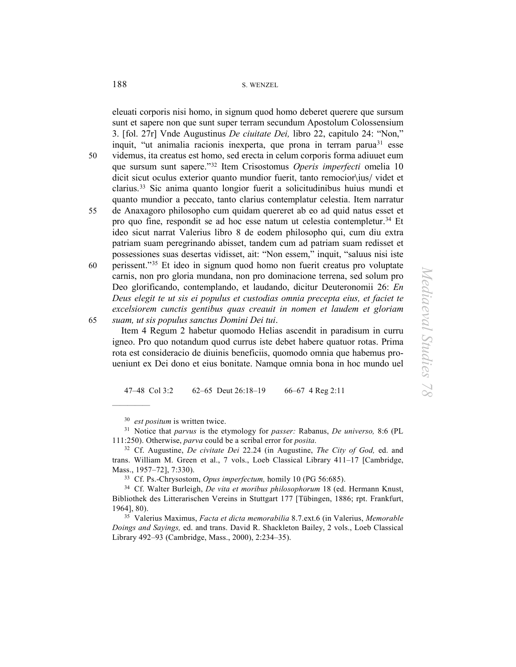## 188 S. WENZEL

eleuati corporis nisi homo, in signum quod homo deberet querere que sursum sunt et sapere non que sunt super terram secundum Apostolum Colossensium 3. [fol. 27r] Vnde Augustinus *De ciuitate Dei,* libro 22, capitulo 24: "Non," inquit, "ut animalia racionis inexperta, que prona in terram parua<sup>[31](#page-7-0)</sup> esse 50 videmus, ita creatus est homo, sed erecta in celum corporis forma adiuuet eum que sursum sunt sapere."[32](#page-7-1) Item Crisostomus *Operis imperfecti* omelia 10 dicit sicut oculus exterior quanto mundior fuerit, tanto remocior\ius/ videt et clarius.[33](#page-7-2) Sic anima quanto longior fuerit a solicitudinibus huius mundi et quanto mundior a peccato, tanto clarius contemplatur celestia. Item narratur

- 55 de Anaxagoro philosopho cum quidam quereret ab eo ad quid natus esset et pro quo fine, respondit se ad hoc esse natum ut celestia contempletur.[34](#page-7-3) Et ideo sicut narrat Valerius libro 8 de eodem philosopho qui, cum diu extra patriam suam peregrinando abisset, tandem cum ad patriam suam redisset et possessiones suas desertas vidisset, ait: "Non essem," inquit, "saluus nisi iste
- perissent."[35](#page-7-4) 60 Et ideo in signum quod homo non fuerit creatus pro voluptate carnis, non pro gloria mundana, non pro dominacione terrena, sed solum pro Deo glorificando, contemplando, et laudando, dicitur Deuteronomii 26: *En Deus elegit te ut sis ei populus et custodias omnia precepta eius, et faciet te excelsiorem cunctis gentibus quas creauit in nomen et laudem et gloriam*  65 *suam, ut sis populus sanctus Domini Dei tui*.

Item 4 Regum 2 habetur quomodo Helias ascendit in paradisum in curru igneo. Pro quo notandum quod currus iste debet habere quatuor rotas. Prima rota est consideracio de diuinis beneficiis, quomodo omnia que habemus proueniunt ex Dei dono et eius bonitate. Namque omnia bona in hoc mundo uel

47–48 Col 3:2 62–65 Deut 26:18–19 66–67 4 Reg 2:11

—————

<span id="page-7-0"></span><sup>30</sup>*est positum* is written twice. 31 Notice that *parvus* is the etymology for *passer:* Rabanus, *De universo,* 8:6 (PL

<span id="page-7-1"></span><sup>&</sup>lt;sup>32</sup> Cf. Augustine, *De civitate Dei* 22.24 (in Augustine, *The City of God*, ed. and trans. William M. Green et al., 7 vols., Loeb Classical Library 411–17 [Cambridge, Mass., 1957–72], 7:330).<br><sup>33</sup> Cf. Ps.-Chrysostom, *Opus imperfectum*, homily 10 (PG 56:685).<br><sup>34</sup> Cf. Walter Burleigh, *De vita et moribus philosophorum* 18 (ed. Hermann Knust,

<span id="page-7-3"></span><span id="page-7-2"></span>Bibliothek des Litterarischen Vereins in Stuttgart 177 [Tübingen, 1886; rpt. Frankfurt, 1964], 80). 35 Valerius Maximus, *Facta et dicta memorabilia* 8.7.ext.6 (in Valerius, *Memorable* 

<span id="page-7-4"></span>*Doings and Sayings,* ed. and trans. David R. Shackleton Bailey, 2 vols., Loeb Classical Library 492–93 (Cambridge, Mass., 2000), 2:234–35).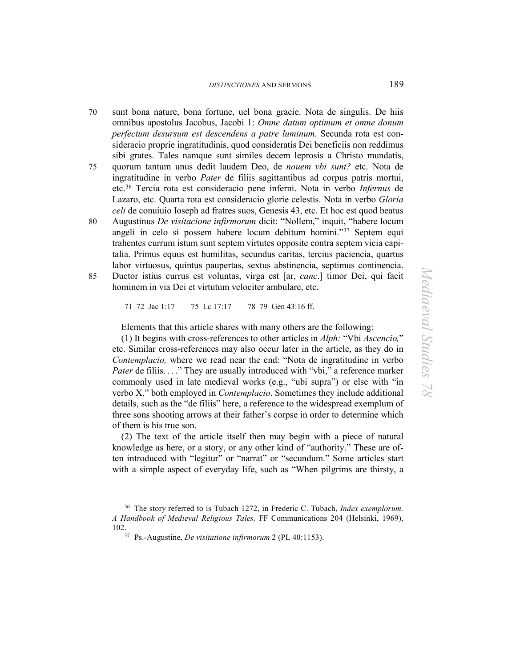#### *DISTINCTIONES* AND SERMONS 189

- 70 sunt bona nature, bona fortune, uel bona gracie. Nota de singulis. De hiis omnibus apostolus Jacobus, Jacobi 1: *Omne datum optimum et omne donum perfectum desursum est descendens a patre luminum*. Secunda rota est consideracio proprie ingratitudinis, quod consideratis Dei beneficiis non reddimus sibi grates. Tales namque sunt similes decem leprosis a Christo mundatis,
- 75 quorum tantum unus dedit laudem Deo, de *nouem vbi sunt?* etc. Nota de ingratitudine in verbo *Pater* de filiis sagittantibus ad corpus patris mortui, etc.[36](#page-8-0) Tercia rota est consideracio pene inferni. Nota in verbo *Infernus* de Lazaro, etc. Quarta rota est consideracio glorie celestis. Nota in verbo *Gloria celi* de conuiuio Ioseph ad fratres suos, Genesis 43, etc. Et hoc est quod beatus
- 80 Augustinus *De visitacione infirmorum* dicit: "Nollem," inquit, "habere locum angeli in celo si possem habere locum debitum homini."[37](#page-8-1) Septem equi trahentes currum istum sunt septem virtutes opposite contra septem vicia capitalia. Primus equus est humilitas, secundus caritas, tercius paciencia, quartus labor virtuosus, quintus paupertas, sextus abstinencia, septimus continencia.
- 85 Ductor istius currus est voluntas, virga est [ar, *canc*.] timor Dei, qui facit hominem in via Dei et virtutum velociter ambulare, etc.

71–72 Jac 1:17 75 Lc 17:17 78–79 Gen 43:16 ff.

Elements that this article shares with many others are the following:

 (1) It begins with cross-references to other articles in *Alph:* "Vbi *Ascencio,*" etc. Similar cross-references may also occur later in the article, as they do in *Contemplacio,* where we read near the end: "Nota de ingratitudine in verbo *Pater* de filiis...." They are usually introduced with "vbi," a reference marker commonly used in late medieval works (e.g., "ubi supra") or else with "in verbo X," both employed in *Contemplacio*. Sometimes they include additional details, such as the "de filiis" here, a reference to the widespread exemplum of three sons shooting arrows at their father's corpse in order to determine which of them is his true son.

(2) The text of the article itself then may begin with a piece of natural knowledge as here, or a story, or any other kind of "authority." These are often introduced with "legitur" or "narrat" or "secundum." Some articles start with a simple aspect of everyday life, such as "When pilgrims are thirsty, a

<span id="page-8-1"></span><span id="page-8-0"></span><sup>36</sup> The story referred to is Tubach 1272, in Frederic C. Tubach, *Index exemplorum. A Handbook of Medieval Religious Tales,* FF Communications 204 (Helsinki, 1969), 102.37 Ps.-Augustine, *De visitatione infirmorum* 2 (PL 40:1153).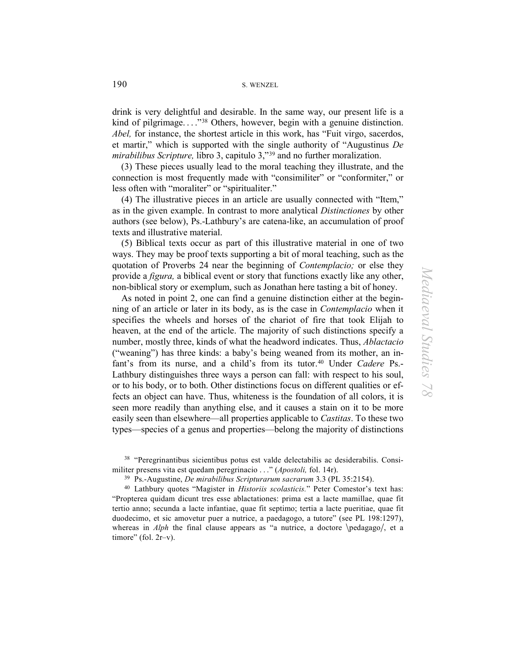drink is very delightful and desirable. In the same way, our present life is a kind of pilgrimage... .<sup>[38](#page-9-0)</sup> Others, however, begin with a genuine distinction. *Abel,* for instance, the shortest article in this work, has "Fuit virgo, sacerdos, et martir," which is supported with the single authority of "Augustinus *De mirabilibus Scripture,* libro 3, capitulo 3,"[39](#page-9-1) and no further moralization.

(3) These pieces usually lead to the moral teaching they illustrate, and the connection is most frequently made with "consimiliter" or "conformiter," or less often with "moraliter" or "spiritualiter."

(4) The illustrative pieces in an article are usually connected with "Item," as in the given example. In contrast to more analytical *Distinctiones* by other authors (see below), Ps.-Lathbury's are catena-like, an accumulation of proof texts and illustrative material.

(5) Biblical texts occur as part of this illustrative material in one of two ways. They may be proof texts supporting a bit of moral teaching, such as the quotation of Proverbs 24 near the beginning of *Contemplacio;* or else they provide a *figura,* a biblical event or story that functions exactly like any other, non-biblical story or exemplum, such as Jonathan here tasting a bit of honey.

As noted in point 2, one can find a genuine distinction either at the beginning of an article or later in its body, as is the case in *Contemplacio* when it specifies the wheels and horses of the chariot of fire that took Elijah to heaven, at the end of the article. The majority of such distinctions specify a number, mostly three, kinds of what the headword indicates. Thus, *Ablactacio*  ("weaning") has three kinds: a baby's being weaned from its mother, an in-fant's from its nurse, and a child's from its tutor.<sup>[40](#page-9-2)</sup> Under *Cadere* Ps.-Lathbury distinguishes three ways a person can fall: with respect to his soul, or to his body, or to both. Other distinctions focus on different qualities or effects an object can have. Thus, whiteness is the foundation of all colors, it is seen more readily than anything else, and it causes a stain on it to be more easily seen than elsewhere—all properties applicable to *Castitas*. To these two types—species of a genus and properties—belong the majority of distinctions

<span id="page-9-0"></span><sup>38</sup> "Peregrinantibus sicientibus potus est valde delectabilis ac desiderabilis. Consi-<br>militer presens vita est quedam peregrinacio ..." (*Apostoli*, fol. 14r).

<span id="page-9-2"></span><span id="page-9-1"></span><sup>39</sup> Ps.-Augustine, *De mirabilibus Scripturarum sacrarum* 3.3 (PL 35:2154).<br><sup>40</sup> Lathbury quotes "Magister in *Historiis scolasticis.*" Peter Comestor's text has: "Propterea quidam dicunt tres esse ablactationes: prima est a lacte mamillae, quae fit tertio anno; secunda a lacte infantiae, quae fit septimo; tertia a lacte pueritiae, quae fit duodecimo, et sic amovetur puer a nutrice, a paedagogo, a tutore" (see PL 198:1297), whereas in *Alph* the final clause appears as "a nutrice, a doctore \pedagago/, et a timore" (fol. 2r-v).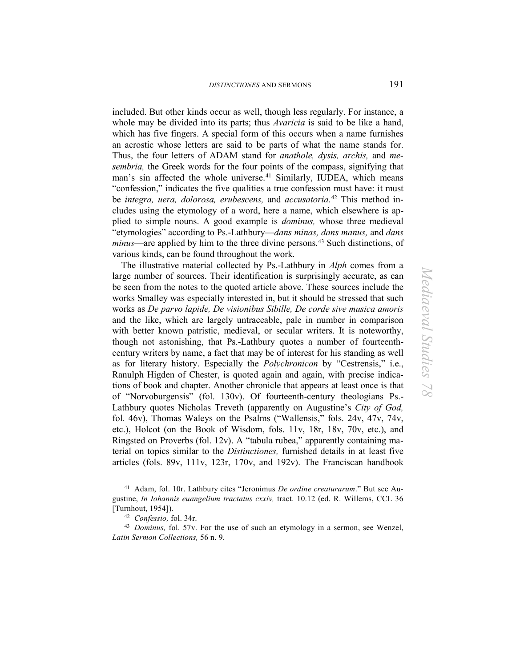included. But other kinds occur as well, though less regularly. For instance, a whole may be divided into its parts; thus *Avaricia* is said to be like a hand, which has five fingers. A special form of this occurs when a name furnishes an acrostic whose letters are said to be parts of what the name stands for. Thus, the four letters of ADAM stand for *anathole, dysis, archis,* and *mesembria,* the Greek words for the four points of the compass, signifying that man's sin affected the whole universe.<sup>[41](#page-10-0)</sup> Similarly, IUDEA, which means "confession," indicates the five qualities a true confession must have: it must be *integra, uera, dolorosa, erubescens,* and *accusatoria.*[42](#page-10-1) This method includes using the etymology of a word, here a name, which elsewhere is applied to simple nouns. A good example is *dominus,* whose three medieval "etymologies" according to Ps.-Lathbury—*dans minas, dans manus,* and *dans minus*—are applied by him to the three divine persons.<sup>[43](#page-10-2)</sup> Such distinctions, of various kinds, can be found throughout the work.

The illustrative material collected by Ps.-Lathbury in *Alph* comes from a large number of sources. Their identification is surprisingly accurate, as can be seen from the notes to the quoted article above. These sources include the works Smalley was especially interested in, but it should be stressed that such works as *De parvo lapide, De visionibus Sibille, De corde sive musica amoris*  and the like, which are largely untraceable, pale in number in comparison with better known patristic, medieval, or secular writers. It is noteworthy, though not astonishing, that Ps.-Lathbury quotes a number of fourteenthcentury writers by name, a fact that may be of interest for his standing as well as for literary history. Especially the *Polychronicon* by "Cestrensis," i.e., Ranulph Higden of Chester, is quoted again and again, with precise indications of book and chapter. Another chronicle that appears at least once is that of "Norvoburgensis" (fol. 130v). Of fourteenth-century theologians Ps.- Lathbury quotes Nicholas Treveth (apparently on Augustine's *City of God,* fol. 46v), Thomas Waleys on the Psalms ("Wallensis," fols. 24v, 47v, 74v, etc.), Holcot (on the Book of Wisdom, fols. 11v, 18r, 18v, 70v, etc.), and Ringsted on Proverbs (fol. 12v). A "tabula rubea," apparently containing material on topics similar to the *Distinctiones,* furnished details in at least five articles (fols. 89v, 111v, 123r, 170v, and 192v). The Franciscan handbook

<span id="page-10-0"></span>41 Adam, fol. 10r. Lathbury cites "Jeronimus *De ordine creaturarum*." But see Augustine, *In Iohannis euangelium tractatus cxxiv,* tract. 10.12 (ed. R. Willems, CCL 36 [Turnhout, 1954]).

<span id="page-10-2"></span><span id="page-10-1"></span><sup>42</sup>*Confessio,* fol. 34r. 43 *Dominus,* fol. 57v. For the use of such an etymology in a sermon, see Wenzel, *Latin Sermon Collections,* 56 n. 9.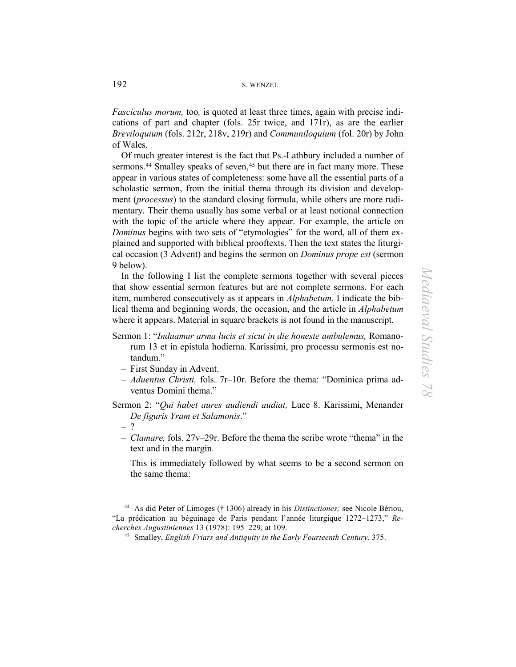*Fasciculus morum,* too*,* is quoted at least three times, again with precise indications of part and chapter (fols. 25r twice, and 171r), as are the earlier *Breviloquium* (fols. 212r, 218v, 219r) and *Communiloquium* (fol. 20r) by John of Wales.

Of much greater interest is the fact that Ps.-Lathbury included a number of sermons.<sup>[44](#page-11-0)</sup> Smalley speaks of seven,<sup>[45](#page-11-1)</sup> but there are in fact many more. These appear in various states of completeness: some have all the essential parts of a scholastic sermon, from the initial thema through its division and development (*processus*) to the standard closing formula, while others are more rudimentary. Their thema usually has some verbal or at least notional connection with the topic of the article where they appear. For example, the article on *Dominus* begins with two sets of "etymologies" for the word, all of them explained and supported with biblical prooftexts. Then the text states the liturgical occasion (3 Advent) and begins the sermon on *Dominus prope est* (sermon 9 below).

In the following I list the complete sermons together with several pieces that show essential sermon features but are not complete sermons. For each item, numbered consecutively as it appears in *Alphabetum,* I indicate the biblical thema and beginning words, the occasion, and the article in *Alphabetum* where it appears. Material in square brackets is not found in the manuscript.

- Sermon 1: "*Induamur arma lucis et sicut in die honeste ambulemus,* Romanorum 13 et in epistula hodierna. Karissimi, pro processu sermonis est notandum."
	- First Sunday in Advent.
	- *Aduentus Christi,* fols. 7r–10r. Before the thema: "Dominica prima adventus Domini thema."

Sermon 2: "*Qui habet aures audiendi audiat,* Luce 8. Karissimi, Menander *De figuris Yram et Salamonis*."

- ?
- *Clamare,* fols. 27v–29r. Before the thema the scribe wrote "thema" in the text and in the margin.

 This is immediately followed by what seems to be a second sermon on the same thema:

<span id="page-11-1"></span><span id="page-11-0"></span>44 As did Peter of Limoges († 1306) already in his *Distinctiones;* see Nicole Bériou, "La prédication au béguinage de Paris pendant l'année liturgique 1272–1273," *Recherches Augustiniennes* 13 (1978): 195–229, at 109.

45 Smalley, *English Friars and Antiquity in the Early Fourteenth Century,* 375.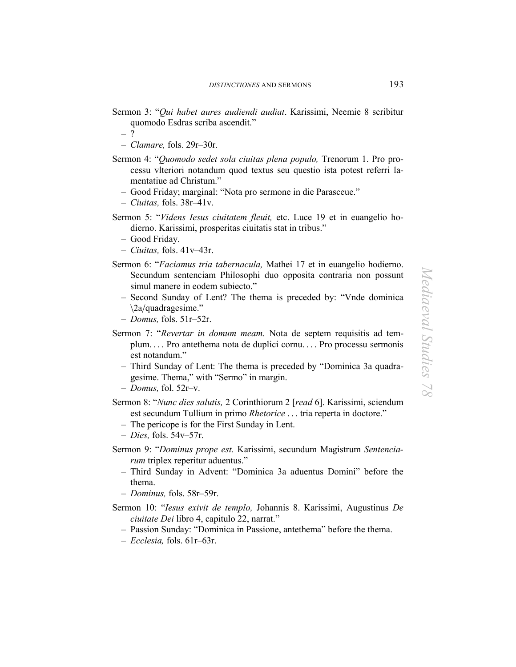- Sermon 3: "*Qui habet aures audiendi audiat*. Karissimi, Neemie 8 scribitur quomodo Esdras scriba ascendit."
	- ?
	- *Clamare,* fols. 29r–30r.
- Sermon 4: "*Quomodo sedet sola ciuitas plena populo,* Trenorum 1. Pro processu vlteriori notandum quod textus seu questio ista potest referri lamentatiue ad Christum."
	- Good Friday; marginal: "Nota pro sermone in die Parasceue."
	- *Ciuitas,* fols. 38r–41v.
- Sermon 5: "*Videns Iesus ciuitatem fleuit,* etc. Luce 19 et in euangelio hodierno. Karissimi, prosperitas ciuitatis stat in tribus."
	- Good Friday.
	- *Ciuitas,* fols. 41v–43r.
- Sermon 6: "*Faciamus tria tabernacula,* Mathei 17 et in euangelio hodierno. Secundum sentenciam Philosophi duo opposita contraria non possunt simul manere in eodem subiecto."
	- Second Sunday of Lent? The thema is preceded by: "Vnde dominica \2a/quadragesime."
	- *Domus,* fols. 51r–52r.
- Sermon 7: "*Revertar in domum meam.* Nota de septem requisitis ad templum... . Pro antethema nota de duplici cornu... . Pro processu sermonis est notandum."
	- Third Sunday of Lent: The thema is preceded by "Dominica 3a quadragesime. Thema," with "Sermo" in margin.
	- *Domus,* fol. 52r–v.
- Sermon 8: "*Nunc dies salutis,* 2 Corinthiorum 2 [*read* 6]. Karissimi, sciendum est secundum Tullium in primo *Rhetorice* . . . tria reperta in doctore."
	- The pericope is for the First Sunday in Lent.
	- *Dies,* fols. 54v–57r.
- Sermon 9: "*Dominus prope est.* Karissimi, secundum Magistrum *Sentenciarum* triplex reperitur aduentus."
	- Third Sunday in Advent: "Dominica 3a aduentus Domini" before the thema.
	- *Dominus,* fols. 58r–59r.
- Sermon 10: "*Iesus exivit de templo,* Johannis 8. Karissimi, Augustinus *De ciuitate Dei* libro 4, capitulo 22, narrat."
	- Passion Sunday: "Dominica in Passione, antethema" before the thema.
	- *Ecclesia,* fols. 61r–63r.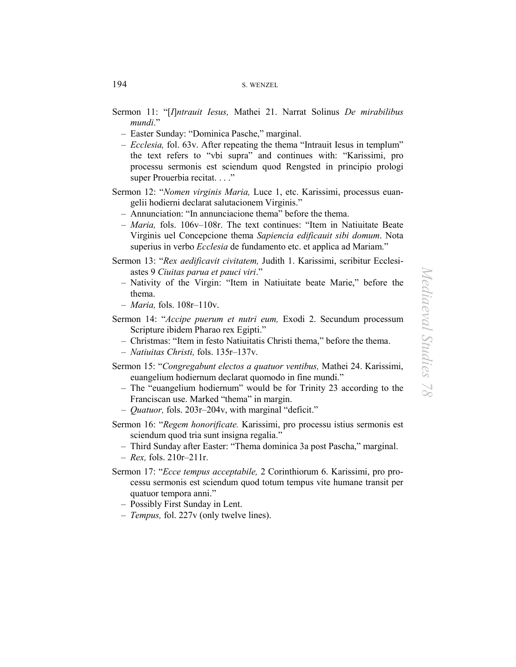- Sermon 11: "[*I*]*ntrauit Iesus,* Mathei 21. Narrat Solinus *De mirabilibus mundi*."
	- Easter Sunday: "Dominica Pasche," marginal.
	- *Ecclesia,* fol. 63v. After repeating the thema "Intrauit Iesus in templum" the text refers to "vbi supra" and continues with: "Karissimi, pro processu sermonis est sciendum quod Rengsted in principio prologi super Prouerbia recitat. . . ."
- Sermon 12: "*Nomen virginis Maria,* Luce 1, etc. Karissimi, processus euangelii hodierni declarat salutacionem Virginis."
	- Annunciation: "In annunciacione thema" before the thema.
	- *Maria,* fols. 106v–108r. The text continues: "Item in Natiuitate Beate Virginis uel Concepcione thema *Sapiencia edificauit sibi domum*. Nota superius in verbo *Ecclesia* de fundamento etc. et applica ad Mariam."
- Sermon 13: "*Rex aedificavit civitatem,* Judith 1. Karissimi, scribitur Ecclesiastes 9 *Ciuitas parua et pauci viri*."
	- Nativity of the Virgin: "Item in Natiuitate beate Marie," before the thema.
	- *Maria,* fols. 108r–110v.
- Sermon 14: "*Accipe puerum et nutri eum,* Exodi 2. Secundum processum Scripture ibidem Pharao rex Egipti."
	- Christmas: "Item in festo Natiuitatis Christi thema," before the thema.
	- *Natiuitas Christi,* fols. 135r–137v.
- Sermon 15: "*Congregabunt electos a quatuor ventibus,* Mathei 24. Karissimi, euangelium hodiernum declarat quomodo in fine mundi."
	- The "euangelium hodiernum" would be for Trinity 23 according to the Franciscan use. Marked "thema" in margin.
	- *Quatuor,* fols. 203r–204v, with marginal "deficit."
- Sermon 16: "*Regem honorificate.* Karissimi, pro processu istius sermonis est sciendum quod tria sunt insigna regalia."
	- Third Sunday after Easter: "Thema dominica 3a post Pascha," marginal.
	- *Rex,* fols. 210r–211r.
- Sermon 17: "*Ecce tempus acceptabile,* 2 Corinthiorum 6. Karissimi, pro processu sermonis est sciendum quod totum tempus vite humane transit per quatuor tempora anni."
	- Possibly First Sunday in Lent.
	- *Tempus,* fol. 227v (only twelve lines).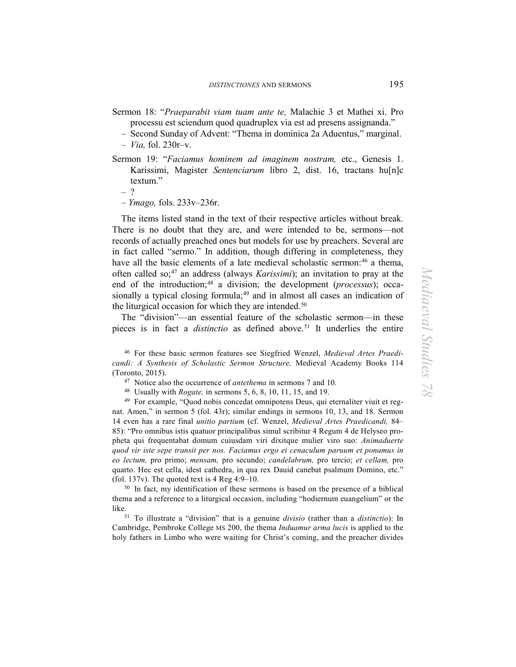- Sermon 18: "*Praeparabit viam tuam ante te,* Malachie 3 et Mathei xi. Pro processu est sciendum quod quadruplex via est ad presens assignanda."
	- Second Sunday of Advent: "Thema in dominica 2a Aduentus," marginal.
	- *Via,* fol. 230r–v.
- Sermon 19: "*Faciamus hominem ad imaginem nostram,* etc., Genesis 1. Karissimi, Magister *Sentenciarum* libro 2, dist. 16, tractans hu[n]c textum."
	- ?
	- *Ymago,* fols. 233v–236r.

The items listed stand in the text of their respective articles without break. There is no doubt that they are, and were intended to be, sermons—not records of actually preached ones but models for use by preachers. Several are in fact called "sermo." In addition, though differing in completeness, they have all the basic elements of a late medieval scholastic sermon:<sup>[46](#page-14-0)</sup> a thema, often called so;[47](#page-14-1) an address (always *Karissimi*); an invitation to pray at the end of the introduction;<sup>[48](#page-14-2)</sup> a division; the development (*processus*); occa-sionally a typical closing formula;<sup>[49](#page-14-3)</sup> and in almost all cases an indication of the liturgical occasion for which they are intended.<sup>[50](#page-14-4)</sup>

The "division"—an essential feature of the scholastic sermon—in these pieces is in fact a *distinctio* as defined above.<sup>[51](#page-14-5)</sup> It underlies the entire

<span id="page-14-0"></span>46 For these basic sermon features see Siegfried Wenzel, *Medieval Artes Praedicandi: A Synthesis of Scholastic Sermon Structure,* Medieval Academy Books 114 (Toronto, 2015).

- 
- 

<span id="page-14-3"></span><span id="page-14-2"></span><span id="page-14-1"></span><sup>47</sup> Notice also the occurrence of *antethema* in sermons 7 and 10.<br><sup>48</sup> Usually with *Rogate*, in sermons 5, 6, 8, 10, 11, 15, and 19.<br><sup>49</sup> For example, "Quod nobis concedat omnipotens Deus, qui eternaliter viuit et regnat. Amen," in sermon 5 (fol. 43r); similar endings in sermons 10, 13, and 18. Sermon 14 even has a rare final *unitio partium* (cf. Wenzel, *Medieval Artes Praedicandi,* 84– 85): "Pro omnibus istis quatuor principalibus simul scribitur 4 Regum 4 de Helyseo propheta qui frequentabat domum cuiusdam viri dixitque mulier viro suo: *Animaduerte quod vir iste sepe transit per nos. Faciamus ergo ei cenaculum paruum et ponamus in eo lectum,* pro primo; *mensam,* pro secundo; *candelabrum,* pro tercio; *et cellam,* pro quarto. Hec est cella, idest cathedra, in qua rex Dauid canebat psalmum Domino, etc." (fol. 137v). The quoted text is  $4 \text{ Reg } 4:9-10$ .

<span id="page-14-4"></span>50 In fact, my identification of these sermons is based on the presence of a biblical thema and a reference to a liturgical occasion, including "hodiernum euangelium" or the like.51 To illustrate a "division" that is a genuine *divisio* (rather than a *distinctio*): In

<span id="page-14-5"></span>Cambridge, Pembroke College MS 200, the thema *Induamur arma lucis* is applied to the holy fathers in Limbo who were waiting for Christ's coming, and the preacher divides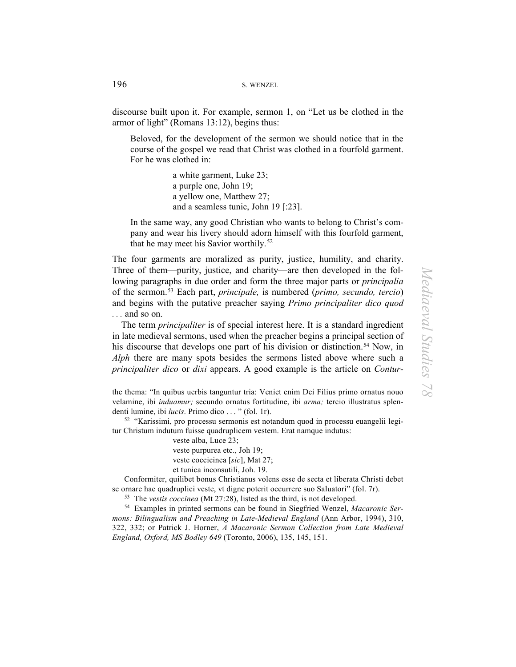discourse built upon it. For example, sermon 1, on "Let us be clothed in the armor of light" (Romans 13:12), begins thus:

Beloved, for the development of the sermon we should notice that in the course of the gospel we read that Christ was clothed in a fourfold garment. For he was clothed in:

> a white garment, Luke 23; a purple one, John 19; a yellow one, Matthew 27; and a seamless tunic, John 19 [:23].

In the same way, any good Christian who wants to belong to Christ's company and wear his livery should adorn himself with this fourfold garment, that he may meet his Savior worthily.<sup>[52](#page-15-0)</sup>

The four garments are moralized as purity, justice, humility, and charity. Three of them—purity, justice, and charity—are then developed in the following paragraphs in due order and form the three major parts or *principalia*  of the sermon.[53](#page-15-1) Each part, *principale,* is numbered (*primo, secundo, tercio*) and begins with the putative preacher saying *Primo principaliter dico quod . . .* and so on.

The term *principaliter* is of special interest here. It is a standard ingredient in late medieval sermons, used when the preacher begins a principal section of his discourse that develops one part of his division or distinction.<sup>54</sup> Now, in *Alph* there are many spots besides the sermons listed above where such a *principaliter dico* or *dixi* appears. A good example is the article on *Contur-*

the thema: "In quibus uerbis tanguntur tria: Veniet enim Dei Filius primo ornatus nouo velamine, ibi *induamur;* secundo ornatus fortitudine, ibi *arma;* tercio illustratus splendenti lumine, ibi *lucis*. Primo dico ... " (fol. 1r).<br><sup>52</sup> "Karissimi, pro processu sermonis est notandum quod in processu euangelii legi-

<span id="page-15-0"></span>tur Christum indutum fuisse quadruplicem vestem. Erat namque indutus:

veste alba, Luce 23;

 veste purpurea etc., Joh 19; veste coccicinea [*sic*], Mat 27;

et tunica inconsutili, Joh. 19.

Conformiter, quilibet bonus Christianus volens esse de secta et liberata Christi debet se ornare hac quadruplici veste, vt digne poterit occurrere suo Saluatori" (fol. 7r).<br><sup>53</sup> The *vestis coccinea* (Mt 27:28), listed as the third, is not developed.<br><sup>54</sup> Examples in printed sermons can be found in Siegfried

<span id="page-15-2"></span><span id="page-15-1"></span>*mons: Bilingualism and Preaching in Late-Medieval England* (Ann Arbor, 1994), 310, 322, 332; or Patrick J. Horner, *A Macaronic Sermon Collection from Late Medieval England, Oxford, MS Bodley 649* (Toronto, 2006), 135, 145, 151.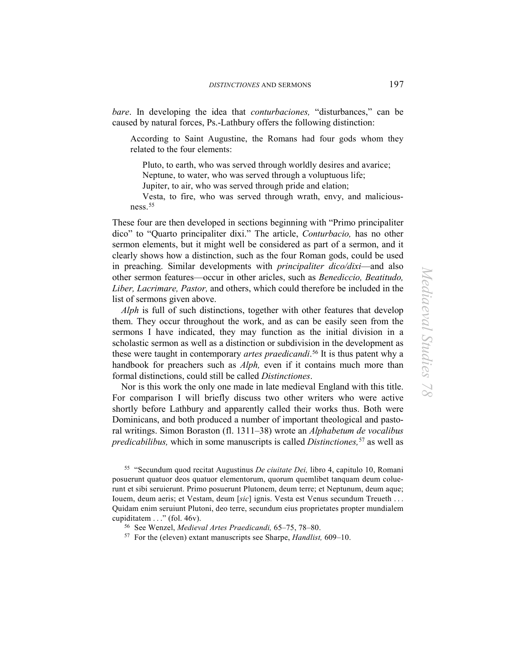*bare*. In developing the idea that *conturbaciones,* "disturbances," can be caused by natural forces, Ps.-Lathbury offers the following distinction:

According to Saint Augustine, the Romans had four gods whom they related to the four elements:

Pluto, to earth, who was served through worldly desires and avarice;

Neptune, to water, who was served through a voluptuous life;

Jupiter, to air, who was served through pride and elation;

Vesta, to fire, who was served through wrath, envy, and malicious- $ness.<sup>55</sup>$  $ness.<sup>55</sup>$  $ness.<sup>55</sup>$ 

These four are then developed in sections beginning with "Primo principaliter dico" to "Quarto principaliter dixi." The article, *Conturbacio,* has no other sermon elements, but it might well be considered as part of a sermon, and it clearly shows how a distinction, such as the four Roman gods, could be used in preaching. Similar developments with *principaliter dico/dixi*—and also other sermon features—occur in other aricles, such as *Benediccio, Beatitudo, Liber, Lacrimare, Pastor,* and others, which could therefore be included in the list of sermons given above.

*Alph* is full of such distinctions, together with other features that develop them. They occur throughout the work, and as can be easily seen from the sermons I have indicated, they may function as the initial division in a scholastic sermon as well as a distinction or subdivision in the development as these were taught in contemporary *artes praedicandi*. [56](#page-16-1) It is thus patent why a handbook for preachers such as *Alph,* even if it contains much more than formal distinctions, could still be called *Distinctiones*.

Nor is this work the only one made in late medieval England with this title. For comparison I will briefly discuss two other writers who were active shortly before Lathbury and apparently called their works thus. Both were Dominicans, and both produced a number of important theological and pastoral writings. Simon Boraston (fl. 1311–38) wrote an *Alphabetum de vocalibus predicabilibus,* which in some manuscripts is called *Distinctiones,* [57](#page-16-2) as well as

<span id="page-16-0"></span><sup>55 &</sup>quot;Secundum quod recitat Augustinus *De ciuitate Dei,* libro 4, capitulo 10, Romani posuerunt quatuor deos quatuor elementorum, quorum quemlibet tanquam deum coluerunt et sibi seruierunt. Primo posuerunt Plutonem, deum terre; et Neptunum, deum aque; Iouem, deum aeris; et Vestam, deum [*sic*] ignis. Vesta est Venus secundum Treueth . . . Quidam enim seruiunt Plutoni, deo terre, secundum eius proprietates propter mundialem cupiditatem . . ." (fol. 46v). 56 See Wenzel, *Medieval Artes Praedicandi,* 65–75, 78–80. 57 For the (eleven) extant manuscripts see Sharpe, *Handlist,* 609–10.

<span id="page-16-2"></span><span id="page-16-1"></span>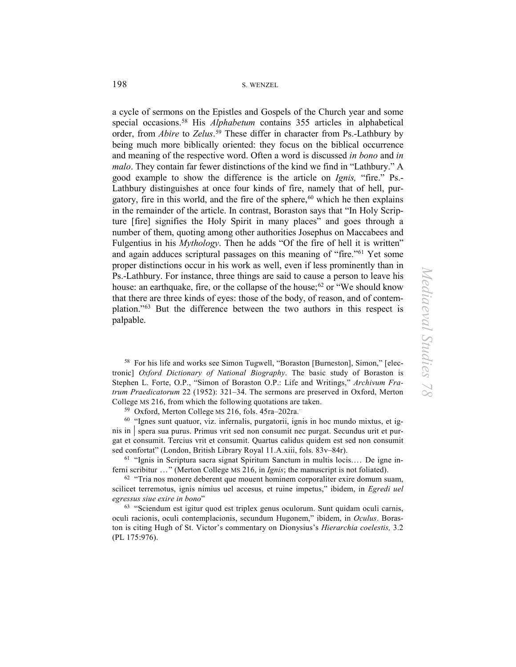198 S. WENZEL

a cycle of sermons on the Epistles and Gospels of the Church year and some special occasions.[58](#page-17-0) His *Alphabetum* contains 355 articles in alphabetical order, from *Abire* to *Zelus*. [59](#page-17-1) These differ in character from Ps.-Lathbury by being much more biblically oriented: they focus on the biblical occurrence and meaning of the respective word. Often a word is discussed *in bono* and *in malo*. They contain far fewer distinctions of the kind we find in "Lathbury." A good example to show the difference is the article on *Ignis,* "fire." Ps.- Lathbury distinguishes at once four kinds of fire, namely that of hell, purgatory, fire in this world, and the fire of the sphere, $60$  which he then explains in the remainder of the article. In contrast, Boraston says that "In Holy Scripture [fire] signifies the Holy Spirit in many places" and goes through a number of them, quoting among other authorities Josephus on Maccabees and Fulgentius in his *Mythology*. Then he adds "Of the fire of hell it is written" and again adduces scriptural passages on this meaning of "fire."[61](#page-17-3) Yet some proper distinctions occur in his work as well, even if less prominently than in Ps.-Lathbury. For instance, three things are said to cause a person to leave his house: an earthquake, fire, or the collapse of the house;<sup>[62](#page-17-4)</sup> or "We should know that there are three kinds of eyes: those of the body, of reason, and of contemplation."[63](#page-17-5) But the difference between the two authors in this respect is palpable.

<span id="page-17-0"></span>58 For his life and works see Simon Tugwell, "Boraston [Burneston], Simon," [electronic] *Oxford Dictionary of National Biography*. The basic study of Boraston is Stephen L. Forte, O.P., "Simon of Boraston O.P.: Life and Writings," *Archivum Fratrum Praedicatorum* 22 (1952): 321–34. The sermons are preserved in Oxford, Merton College MS 216, from which the following quotations are taken.

59 Oxford, Merton College MS 216, fols. 45ra–202ra. .

<span id="page-17-2"></span><span id="page-17-1"></span>60 "Ignes sunt quatuor, viz. infernalis, purgatorii, ignis in hoc mundo mixtus, et ignis in | spera sua purus. Primus vrit sed non consumit nec purgat. Secundus urit et purgat et consumit. Tercius vrit et consumit. Quartus calidus quidem est sed non consumit sed confortat" (London, British Library Royal 11.A.xiii, fols. 83v–84r). <sup>61</sup> "Ignis in Scriptura sacra signat Spiritum Sanctum in multis locis.... De igne in-

<span id="page-17-3"></span>ferni scribitur ..." (Merton College MS 216, in *Ignis*; the manuscript is not foliated).

<span id="page-17-4"></span>62 "Tria nos monere deberent que mouent hominem corporaliter exire domum suam, scilicet terremotus, ignis nimius uel accesus, et ruine impetus," ibidem, in *Egredi uel egressus siue exire in bono*"<br><sup>63</sup> "Sciendum est igitur quod est triplex genus oculorum. Sunt quidam oculi carnis,

<span id="page-17-5"></span>oculi racionis, oculi contemplacionis, secundum Hugonem," ibidem, in *Oculus*. Boraston is citing Hugh of St. Victor's commentary on Dionysius's *Hierarchia coelestis,* 3.2 (PL 175:976).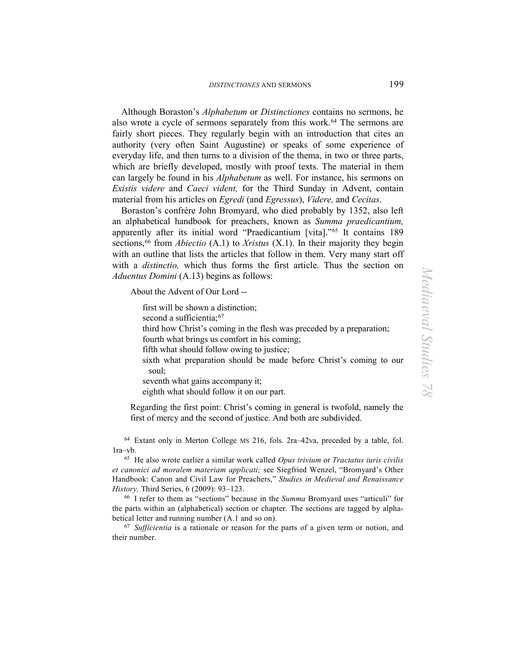Although Boraston's *Alphabetum* or *Distinctiones* contains no sermons, he also wrote a cycle of sermons separately from this work.<sup>[64](#page-18-0)</sup> The sermons are fairly short pieces. They regularly begin with an introduction that cites an authority (very often Saint Augustine) or speaks of some experience of everyday life, and then turns to a division of the thema, in two or three parts, which are briefly developed, mostly with proof texts. The material in them can largely be found in his *Alphabetum* as well. For instance, his sermons on *Existis videre* and *Caeci vident,* for the Third Sunday in Advent, contain material from his articles on *Egredi* (and *Egressus*), *Videre,* and *Cecitas*.

Boraston's confrère John Bromyard, who died probably by 1352, also left an alphabetical handbook for preachers, known as *Summa praedicantium,* apparently after its initial word "Praedicantium [vita]."[65](#page-18-1) It contains 189 sections, [66](#page-18-2) from *Abiectio* (A.1) to *Xristus* (X.1). In their majority they begin with an outline that lists the articles that follow in them. Very many start off with a *distinctio,* which thus forms the first article. Thus the section on *Aduentus Domini* (A.13) begins as follows:

About the Advent of Our Lord --

first will be shown a distinction;

second a sufficientia; <sup>[67](#page-18-3)</sup>

 third how Christ's coming in the flesh was preceded by a preparation; fourth what brings us comfort in his coming;

fifth what should follow owing to justice;

sixth what preparation should be made before Christ's coming to our soul;

seventh what gains accompany it;

eighth what should follow it on our part.

Regarding the first point: Christ's coming in general is twofold, namely the first of mercy and the second of justice. And both are subdivided.

<span id="page-18-0"></span>64 Extant only in Merton College MS 216, fols. 2ra–42va, preceded by a table, fol. 1ra–vb.

<span id="page-18-1"></span>65 He also wrote earlier a similar work called *Opus trivium* or *Tractatus iuris civilis et canonici ad moralem materiam applicati;* see Siegfried Wenzel, "Bromyard's Other Handbook: Canon and Civil Law for Preachers," *Studies in Medieval and Renaissance History,* Third Series, 6 (2009): 93–123.

<span id="page-18-2"></span>66 I refer to them as "sections" because in the *Summa* Bromyard uses "articuli" for the parts within an (alphabetical) section or chapter. The sections are tagged by alphabetical letter and running number (A.1 and so on).

<span id="page-18-3"></span><sup>67</sup> Sufficientia is a rationale or reason for the parts of a given term or notion, and their number.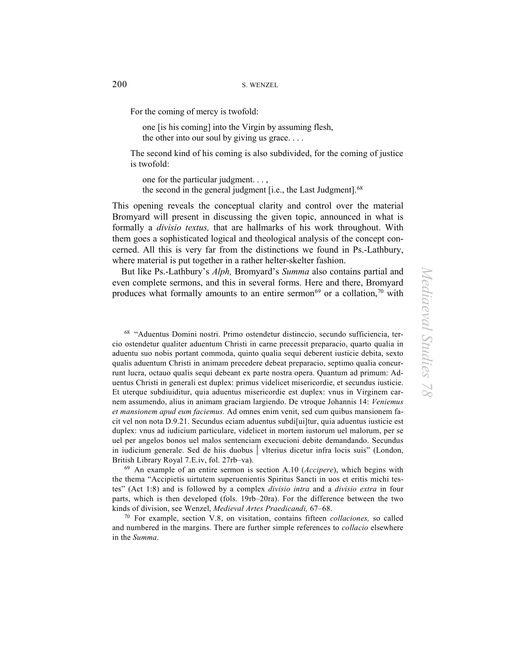For the coming of mercy is twofold:

 one [is his coming] into the Virgin by assuming flesh, the other into our soul by giving us grace. . . .

The second kind of his coming is also subdivided, for the coming of justice is twofold:

 one for the particular judgment. . . , the second in the general judgment [i.e., the Last Judgment].<sup>[68](#page-19-0)</sup>

This opening reveals the conceptual clarity and control over the material Bromyard will present in discussing the given topic, announced in what is formally a *divisio textus,* that are hallmarks of his work throughout. With them goes a sophisticated logical and theological analysis of the concept concerned. All this is very far from the distinctions we found in Ps.-Lathbury, where material is put together in a rather helter-skelter fashion.

But like Ps.-Lathbury's *Alph,* Bromyard's *Summa* also contains partial and even complete sermons, and this in several forms. Here and there, Bromyard produces what formally amounts to an entire sermon<sup>[69](#page-19-1)</sup> or a collation,<sup>[70](#page-19-2)</sup> with

<span id="page-19-0"></span>68 "Aduentus Domini nostri. Primo ostendetur distinccio, secundo sufficiencia, tercio ostendetur qualiter aduentum Christi in carne precessit preparacio, quarto qualia in aduentu suo nobis portant commoda, quinto qualia sequi deberent iusticie debita, sexto qualis aduentum Christi in animam precedere debeat preparacio, septimo qualia concurrunt lucra, octauo qualis sequi debeant ex parte nostra opera. Quantum ad primum: Aduentus Christi in generali est duplex: primus videlicet misericordie, et secundus iusticie. Et uterque subdiuiditur, quia aduentus misericordie est duplex: vnus in Virginem carnem assumendo, alius in animam graciam largiendo. De vtroque Johannis 14: *Veniemus et mansionem apud eum faciemus.* Ad omnes enim venit, sed cum quibus mansionem facit vel non nota D.9.21. Secundus eciam aduentus subdi[ui]tur, quia aduentus iusticie est duplex: vnus ad iudicium particulare, videlicet in mortem iustorum uel malorum, per se uel per angelos bonos uel malos sentenciam execucioni debite demandando. Secundus in iudicium generale. Sed de hiis duobus | vlterius dicetur infra locis suis" (London,

<span id="page-19-1"></span><sup>69</sup> An example of an entire sermon is section A.10 (*Accipere*), which begins with the thema "Accipietis uirtutem superuenientis Spiritus Sancti in uos et eritis michi testes" (Act 1:8) and is followed by a complex *divisio intra* and a *divisio extra* in four parts, which is then developed (fols. 19rb–20ra). For the difference between the two kinds of division, see Wenzel, *Medieval Artes Praedicandi,* 67–68.

<span id="page-19-2"></span>70 For example, section V.8, on visitation, contains fifteen *collaciones,* so called and numbered in the margins. There are further simple references to *collacio* elsewhere in the *Summa*.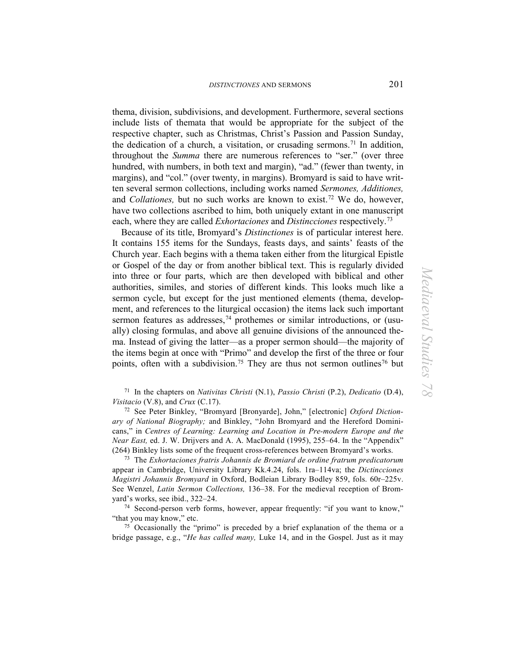thema, division, subdivisions, and development. Furthermore, several sections include lists of themata that would be appropriate for the subject of the respective chapter, such as Christmas, Christ's Passion and Passion Sunday, the dedication of a church, a visitation, or crusading sermons.<sup>[71](#page-20-0)</sup> In addition, throughout the *Summa* there are numerous references to "ser." (over three hundred, with numbers, in both text and margin), "ad." (fewer than twenty, in margins), and "col." (over twenty, in margins). Bromyard is said to have written several sermon collections, including works named *Sermones, Additiones,* and *Collationes*, but no such works are known to exist.<sup>72</sup> We do, however, have two collections ascribed to him, both uniquely extant in one manuscript each, where they are called *Exhortaciones* and *Distincciones* respectively. [73](#page-20-2)

Because of its title, Bromyard's *Distinctiones* is of particular interest here. It contains 155 items for the Sundays, feasts days, and saints' feasts of the Church year. Each begins with a thema taken either from the liturgical Epistle or Gospel of the day or from another biblical text. This is regularly divided into three or four parts, which are then developed with biblical and other authorities, similes, and stories of different kinds. This looks much like a sermon cycle, but except for the just mentioned elements (thema, development, and references to the liturgical occasion) the items lack such important sermon features as addresses,<sup>[74](#page-20-3)</sup> prothemes or similar introductions, or (usually) closing formulas, and above all genuine divisions of the announced thema. Instead of giving the latter—as a proper sermon should—the majority of the items begin at once with "Primo" and develop the first of the three or four points, often with a subdivision.<sup>[75](#page-20-4)</sup> They are thus not sermon outlines<sup>[76](#page-20-5)</sup> but

<span id="page-20-0"></span>71 In the chapters on *Nativitas Christi* (N.1), *Passio Christi* (P.2), *Dedicatio* (D.4), *Visitacio* (V.8), and *Crux* (C.17).

<span id="page-20-1"></span>72 See Peter Binkley, "Bromyard [Bronyarde], John," [electronic] *Oxford Dictionary of National Biography;* and Binkley, "John Bromyard and the Hereford Dominicans," in *Centres of Learning: Learning and Location in Pre-modern Europe and the Near East,* ed. J. W. Drijvers and A. A. MacDonald (1995), 255–64. In the "Appendix" (264) Binkley lists some of the frequent cross-references between Bromyard's works.

<span id="page-20-2"></span>73 The *Exhortaciones fratris Johannis de Bromiard de ordine fratrum predicatorum* appear in Cambridge, University Library Kk.4.24, fols. 1ra–114va; the *Dictincciones Magistri Johannis Bromyard* in Oxford, Bodleian Library Bodley 859, fols. 60r–225v. See Wenzel, *Latin Sermon Collections,* 136–38. For the medieval reception of Bromyard's works, see ibid., 322–24.

<span id="page-20-5"></span><span id="page-20-3"></span>74 Second-person verb forms, however, appear frequently: "if you want to know," "that you may know," etc.

<span id="page-20-4"></span>75 Occasionally the "primo" is preceded by a brief explanation of the thema or a bridge passage, e.g., "*He has called many,* Luke 14, and in the Gospel. Just as it may